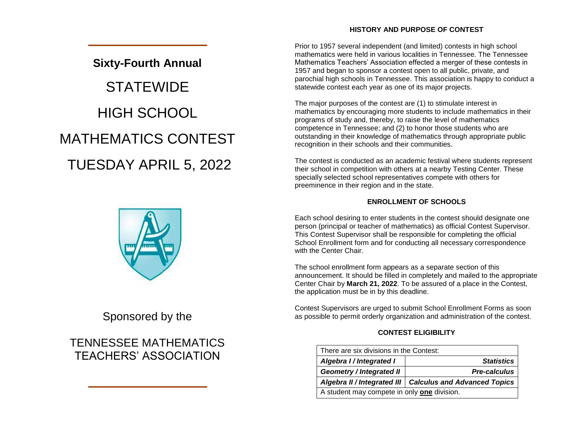## **HISTORY AND PURPOSE OF CONTEST**

# **Sixty-Fourth Annual STATEWIDE** HIGH SCHOOL MATHEMATICS CONTEST TUESDAY APRIL 5, 2022



# Sponsored by the

# TENNESSEE MATHEMATICS TEACHERS' ASSOCIATION

Prior to 1957 several independent (and limited) contests in high school mathematics were held in various localities in Tennessee. The Tennessee Mathematics Teachers' Association effected a merger of these contests in 1957 and began to sponsor a contest open to all public, private, and parochial high schools in Tennessee. This association is happy to conduct a statewide contest each year as one of its major projects.

The major purposes of the contest are (1) to stimulate interest in mathematics by encouraging more students to include mathematics in their programs of study and, thereby, to raise the level of mathematics competence in Tennessee; and (2) to honor those students who are outstanding in their knowledge of mathematics through appropriate public recognition in their schools and their communities.

The contest is conducted as an academic festival where students represent their school in competition with others at a nearby Testing Center. These specially selected school representatives compete with others for preeminence in their region and in the state.

## **ENROLLMENT OF SCHOOLS**

Each school desiring to enter students in the contest should designate one person (principal or teacher of mathematics) as official Contest Supervisor. This Contest Supervisor shall be responsible for completing the official School Enrollment form and for conducting all necessary correspondence with the Center Chair

The school enrollment form appears as a separate section of this announcement. It should be filled in completely and mailed to the appropriate Center Chair by **March 21, 2022**. To be assured of a place in the Contest, the application must be in by this deadline.

Contest Supervisors are urged to submit School Enrollment Forms as soon as possible to permit orderly organization and administration of the contest.

# **CONTEST ELIGIBILITY**

| There are six divisions in the Contest:     |                                     |  |  |
|---------------------------------------------|-------------------------------------|--|--|
| Algebra I / Integrated I                    | <b>Statistics</b>                   |  |  |
| <b>Geometry / Integrated II</b>             | <b>Pre-calculus</b>                 |  |  |
| Algebra II / Integrated III                 | <b>Calculus and Advanced Topics</b> |  |  |
| A student may compete in only one division. |                                     |  |  |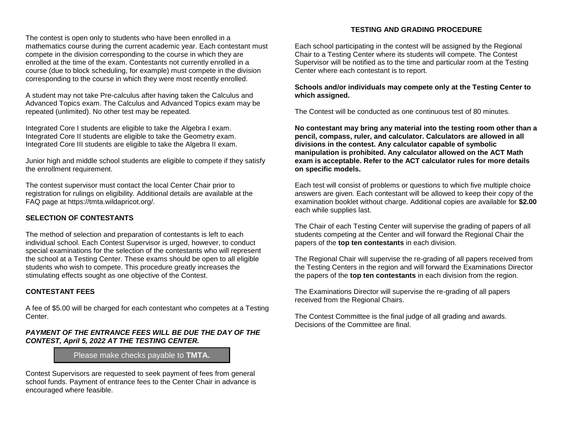The contest is open only to students who have been enrolled in a mathematics course during the current academic year. Each contestant must compete in the division corresponding to the course in which they are enrolled at the time of the exam. Contestants not currently enrolled in a course (due to block scheduling, for example) must compete in the division corresponding to the course in which they were most recently enrolled.

A student may not take Pre-calculus after having taken the Calculus and Advanced Topics exam. The Calculus and Advanced Topics exam may be repeated (unlimited). No other test may be repeated.

Integrated Core I students are eligible to take the Algebra I exam. Integrated Core II students are eligible to take the Geometry exam. Integrated Core III students are eligible to take the Algebra II exam.

Junior high and middle school students are eligible to compete if they satisfy the enrollment requirement.

The contest supervisor must contact the local Center Chair prior to registration for rulings on eligibility. Additional details are available at the FAQ page at https://tmta.wildapricot.org/.

#### **SELECTION OF CONTESTANTS**

The method of selection and preparation of contestants is left to each individual school. Each Contest Supervisor is urged, however, to conduct special examinations for the selection of the contestants who will represent the school at a Testing Center. These exams should be open to all eligible students who wish to compete. This procedure greatly increases the stimulating effects sought as one objective of the Contest.

#### **CONTESTANT FEES**

A fee of \$5.00 will be charged for each contestant who competes at a Testing Center.

#### *PAYMENT OF THE ENTRANCE FEES WILL BE DUE THE DAY OF THE CONTEST, April 5, 2022 AT THE TESTING CENTER.*

Please make checks payable to **TMTA.**

Contest Supervisors are requested to seek payment of fees from general school funds. Payment of entrance fees to the Center Chair in advance is encouraged where feasible.

#### **TESTING AND GRADING PROCEDURE**

Each school participating in the contest will be assigned by the Regional Chair to a Testing Center where its students will compete. The Contest Supervisor will be notified as to the time and particular room at the Testing Center where each contestant is to report.

#### **Schools and/or individuals may compete only at the Testing Center to which assigned.**

The Contest will be conducted as one continuous test of 80 minutes.

**No contestant may bring any material into the testing room other than a pencil, compass, ruler, and calculator. Calculators are allowed in all divisions in the contest. Any calculator capable of symbolic manipulation is prohibited. Any calculator allowed on the ACT Math exam is acceptable. Refer to the ACT calculator rules for more details on specific models.**

Each test will consist of problems or questions to which five multiple choice answers are given. Each contestant will be allowed to keep their copy of the examination booklet without charge. Additional copies are available for **\$2.00**  each while supplies last.

The Chair of each Testing Center will supervise the grading of papers of all students competing at the Center and will forward the Regional Chair the papers of the **top ten contestants** in each division.

The Regional Chair will supervise the re-grading of all papers received from the Testing Centers in the region and will forward the Examinations Director the papers of the **top ten contestants** in each division from the region.

The Examinations Director will supervise the re-grading of all papers received from the Regional Chairs.

The Contest Committee is the final judge of all grading and awards. Decisions of the Committee are final.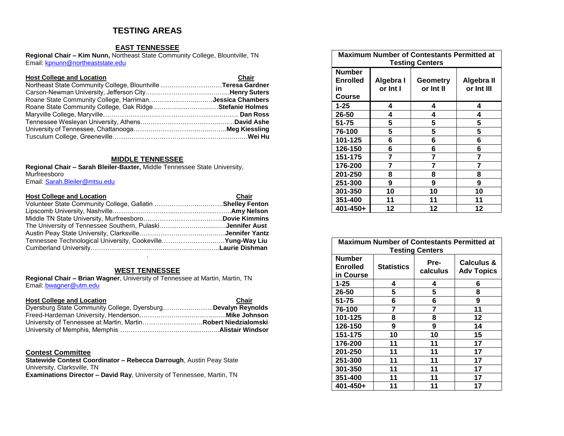# **TESTING AREAS**

#### **EAST TENNESSEE**

**Regional Chair – Kim Nunn,** Northeast State Community College, Blountville, TN Email[: kpnunn@northeaststate.edu](mailto:kpnunn@northeaststate.edu)

| <b>Host College and Location</b>                              | Chair |
|---------------------------------------------------------------|-------|
| Northeast State Community College, Blountville Teresa Gardner |       |
|                                                               |       |
| Roane State Community College, HarrimanJessica Chambers       |       |
| Roane State Community College, Oak RidgeStefanie Holmes       |       |
|                                                               |       |
|                                                               |       |
|                                                               |       |
|                                                               |       |

#### **MIDDLE TENNESSEE**

**Regional Chair – Sarah Bleiler-Baxter,** Middle Tennessee State University, Murfreesboro Email[: Sarah.Bleiler@mtsu.edu](mailto:Sarah.Bleiler@mtsu.edu)

| <b>Host College and Location</b>                           | Chair |
|------------------------------------------------------------|-------|
| Volunteer State Community College, Gallatin Shelley Fenton |       |
|                                                            |       |
|                                                            |       |
| The University of Tennessee Southern, PulaskiJennifer Aust |       |
|                                                            |       |
| Tennessee Technological University, CookevilleYung-Way Liu |       |
|                                                            |       |

#### **WEST TENNESSEE**

.

**Regional Chair – Brian Wagner**, University of Tennessee at Martin, Martin, TN Email[: bwagner@utm.edu](mailto:bwagner@utm.edu)

| <b>Host College and Location</b>                             | Chair |
|--------------------------------------------------------------|-------|
| Dyersburg State Community College, DyersburgDevalyn Reynolds |       |
|                                                              |       |
|                                                              |       |
|                                                              |       |

#### **Contest Committee**

**Statewide Contest Coordinator – Rebecca Darrough**, Austin Peay State University, Clarksville, TN **Examinations Director – David Ray**, University of Tennessee, Martin, TN

| <b>Maximum Number of Contestants Permitted at</b><br><b>Testing Centers</b> |           |           |            |  |
|-----------------------------------------------------------------------------|-----------|-----------|------------|--|
| Number                                                                      |           |           |            |  |
| <b>Enrolled</b>                                                             | Algebra I | Geometry  | Algebra II |  |
| in                                                                          | or Int I  | or Int II | or Int III |  |
| Course                                                                      |           |           |            |  |
| 1-25                                                                        | 4         | 4         | 4          |  |
| 26-50                                                                       | 4         | 4         | 4          |  |
| 51-75                                                                       | 5         | 5         | 5          |  |
| 76-100                                                                      | 5         | 5         | 5          |  |
| 101-125                                                                     | 6         | 6         | 6          |  |
| 126-150                                                                     | 6         | 6         | 6          |  |
| 151-175                                                                     | 7         | 7         | 7          |  |
| 176-200                                                                     | 7         | 7         |            |  |
| 201-250                                                                     | 8         | 8         | 8          |  |
| 251-300                                                                     | 9         | 9         | 9          |  |
| 301-350                                                                     | 10        | 10        | 10         |  |
| 351-400                                                                     | 11        | 11        | 11         |  |
| 401-450+                                                                    | 12        | 12        | 12         |  |

| <b>Maximum Number of Contestants Permitted at</b><br><b>Testing Centers</b> |                   |                  |                                            |  |
|-----------------------------------------------------------------------------|-------------------|------------------|--------------------------------------------|--|
| <b>Number</b><br><b>Enrolled</b><br>in Course                               | <b>Statistics</b> | Pre-<br>calculus | <b>Calculus &amp;</b><br><b>Adv Topics</b> |  |
| 1-25                                                                        | 4                 | 4                | 6                                          |  |
| 26-50                                                                       | 5                 | 5                | 8                                          |  |
| 51-75                                                                       | 6                 | 6                | 9                                          |  |
| 76-100                                                                      | 7                 | 7                | 11                                         |  |
| 101-125                                                                     | 8                 | 8                | 12                                         |  |
| 126-150                                                                     | 9                 | 9                | 14                                         |  |
| 151-175                                                                     | 10                | 10               | 15                                         |  |
| 176-200                                                                     | 11                | 11               | 17                                         |  |
| 201-250                                                                     | 11                | 11               | 17                                         |  |
| 251-300                                                                     | 11                | 11               | 17                                         |  |
| 301-350                                                                     | 11                | 11               | 17                                         |  |
| 351-400                                                                     | 11                | 11               | 17                                         |  |
| 401-450+                                                                    | 11                | 11               | 17                                         |  |